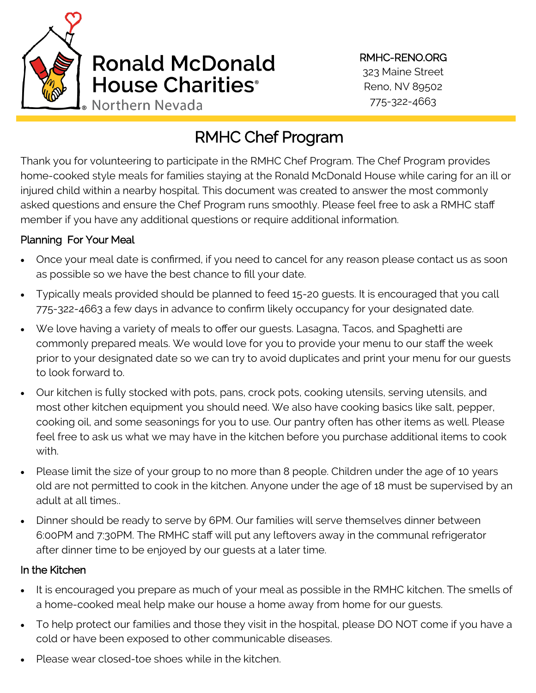

# RMHC Chef Program

Thank you for volunteering to participate in the RMHC Chef Program. The Chef Program provides home-cooked style meals for families staying at the Ronald McDonald House while caring for an ill or injured child within a nearby hospital. This document was created to answer the most commonly asked questions and ensure the Chef Program runs smoothly. Please feel free to ask a RMHC staff member if you have any additional questions or require additional information.

## Planning For Your Meal

- Once your meal date is confirmed, if you need to cancel for any reason please contact us as soon as possible so we have the best chance to fill your date.
- Typically meals provided should be planned to feed 15-20 guests. It is encouraged that you call 775-322-4663 a few days in advance to confirm likely occupancy for your designated date.
- We love having a variety of meals to offer our guests. Lasagna, Tacos, and Spaghetti are commonly prepared meals. We would love for you to provide your menu to our staff the week prior to your designated date so we can try to avoid duplicates and print your menu for our guests to look forward to.
- Our kitchen is fully stocked with pots, pans, crock pots, cooking utensils, serving utensils, and most other kitchen equipment you should need. We also have cooking basics like salt, pepper, cooking oil, and some seasonings for you to use. Our pantry often has other items as well. Please feel free to ask us what we may have in the kitchen before you purchase additional items to cook with.
- Please limit the size of your group to no more than 8 people. Children under the age of 10 years old are not permitted to cook in the kitchen. Anyone under the age of 18 must be supervised by an adult at all times..
- Dinner should be ready to serve by 6PM. Our families will serve themselves dinner between 6:00PM and 7:30PM. The RMHC staff will put any leftovers away in the communal refrigerator after dinner time to be enjoyed by our guests at a later time.

#### In the Kitchen

- It is encouraged you prepare as much of your meal as possible in the RMHC kitchen. The smells of a home-cooked meal help make our house a home away from home for our guests.
- To help protect our families and those they visit in the hospital, please DO NOT come if you have a cold or have been exposed to other communicable diseases.
- Please wear closed-toe shoes while in the kitchen.